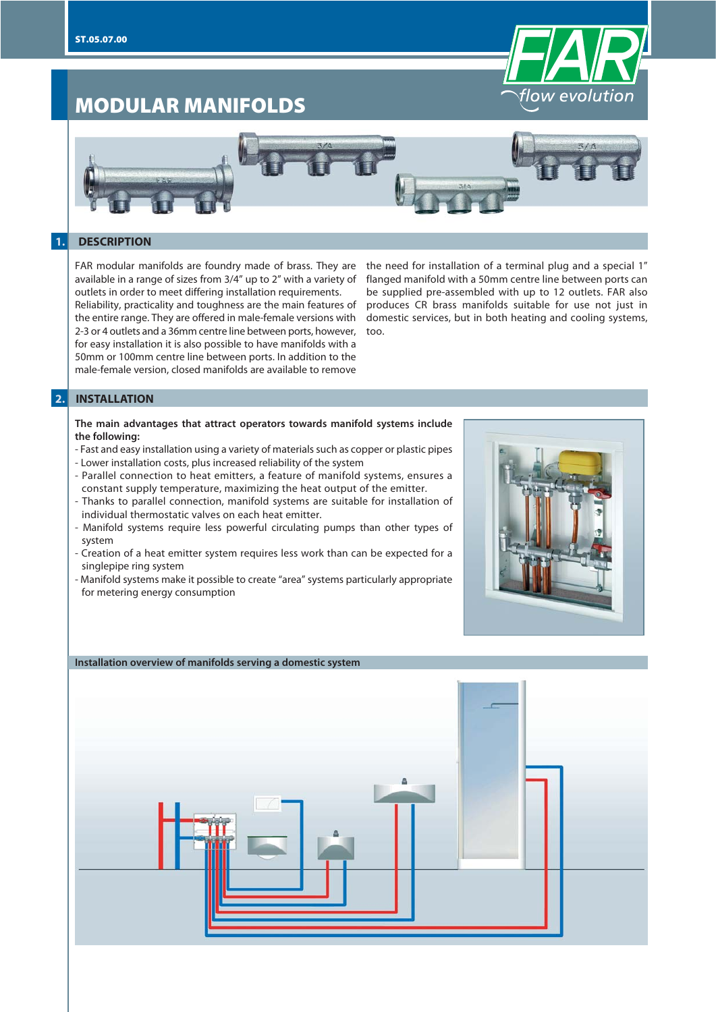

# **MODULAR MANIFOLDS**



# **1. DESCRIPTION**

FAR modular manifolds are foundry made of brass. They are available in a range of sizes from 3/4" up to 2" with a variety of outlets in order to meet differing installation requirements.

Reliability, practicality and toughness are the main features of the entire range. They are offered in male-female versions with 2-3 or 4 outlets and a 36mm centre line between ports, however, for easy installation it is also possible to have manifolds with a 50mm or 100mm centre line between ports. In addition to the male-female version, closed manifolds are available to remove

the need for installation of a terminal plug and a special 1" flanged manifold with a 50mm centre line between ports can be supplied pre-assembled with up to 12 outlets. FAR also produces CR brass manifolds suitable for use not just in domestic services, but in both heating and cooling systems, too.

#### **2. INSTALLATION**

#### **The main advantages that attract operators towards manifold systems include the following:**

- Fast and easy installation using a variety of materials such as copper or plastic pipes - Lower installation costs, plus increased reliability of the system
- Parallel connection to heat emitters, a feature of manifold systems, ensures a constant supply temperature, maximizing the heat output of the emitter.
- Thanks to parallel connection, manifold systems are suitable for installation of individual thermostatic valves on each heat emitter.
- Manifold systems require less powerful circulating pumps than other types of system
- Creation of a heat emitter system requires less work than can be expected for a singlepipe ring system
- Manifold systems make it possible to create "area" systems particularly appropriate for metering energy consumption

#### **Installation overview of manifolds serving a domestic system**

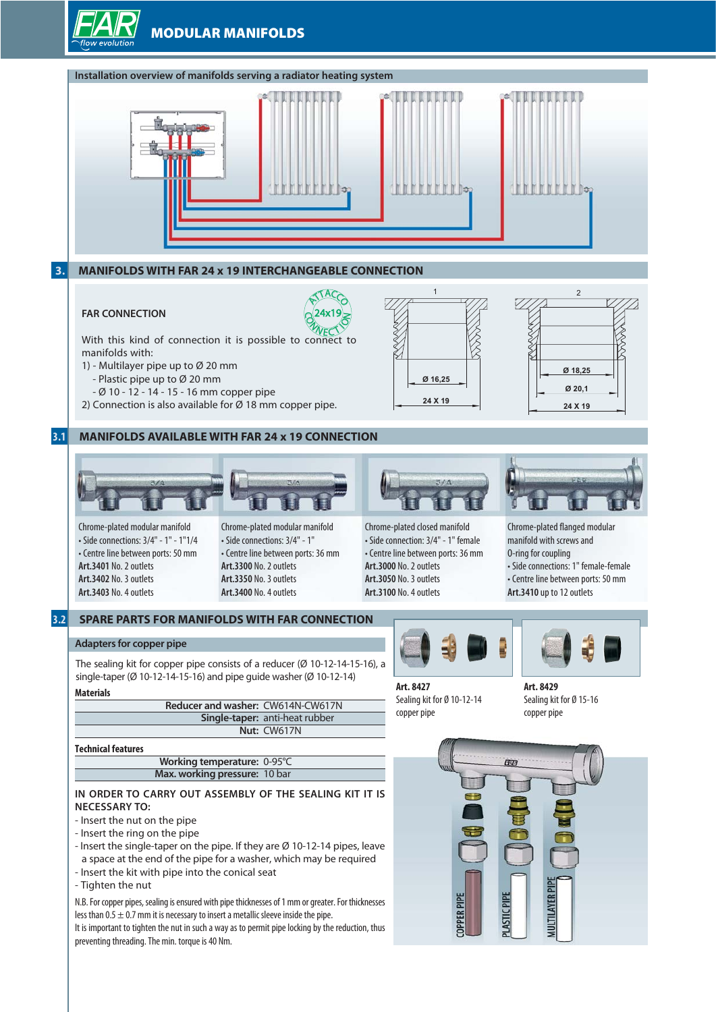# **MODULAR MANIFOLDS**



- Insert the kit with pipe into the conical seat
- Tighten the nut

N.B. For copper pipes, sealing is ensured with pipe thicknesses of 1 mm or greater. For thicknesses less than  $0.5 \pm 0.7$  mm it is necessary to insert a metallic sleeve inside the pipe. It is important to tighten the nut in such a way as to permit pipe locking by the reduction, thus preventing threading. The min. torque is 40 Nm.

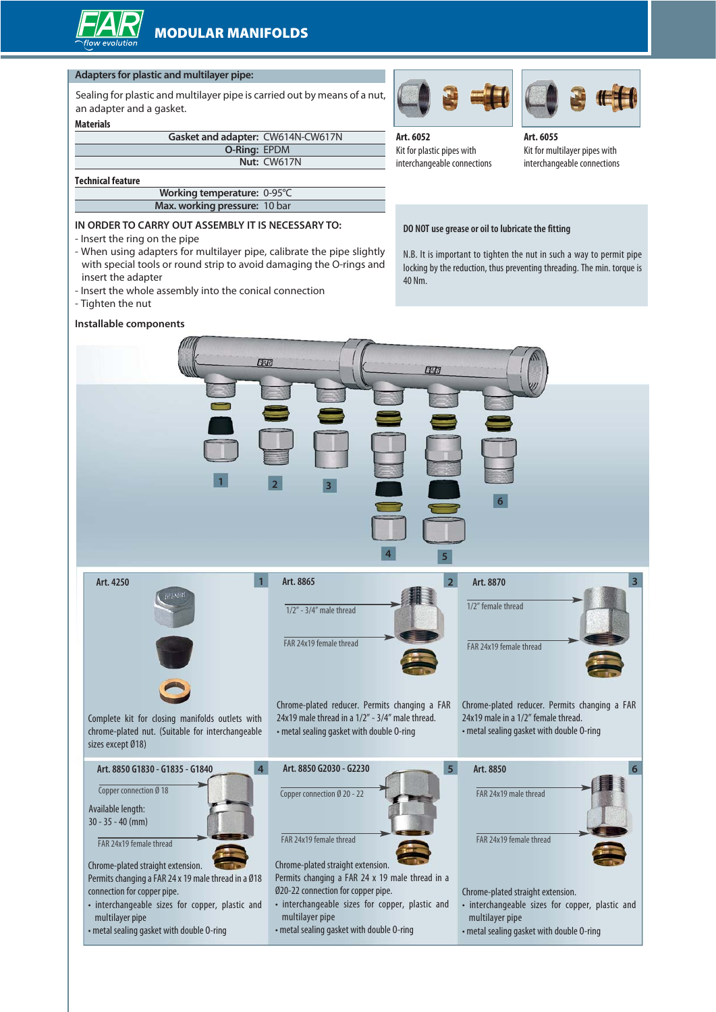#### **Adapters for plastic and multilayer pipe:**

Sealing for plastic and multilayer pipe is carried out by means of a nut, an adapter and a gasket.

#### **Materials**

| Gasket and adapter: CW614N-CW617N |             |
|-----------------------------------|-------------|
| <b>O-Ring: EPDM</b>               |             |
|                                   | Nut: CW617N |
|                                   |             |

#### **Technical feature**

| Working temperature: 0-95°C   |  |
|-------------------------------|--|
| Max. working pressure: 10 bar |  |

#### **IN ORDER TO CARRY OUT ASSEMBLY IT IS NECESSARY TO:**

- Insert the ring on the pipe
- When using adapters for multilayer pipe, calibrate the pipe slightly with special tools or round strip to avoid damaging the O-rings and insert the adapter
- Insert the whole assembly into the conical connection
- Tighten the nut

#### **Installable components**







**Art. 6055** Kit for multilayer pipes with interchangeable connections

#### **DO NOT use grease or oil to lubricate the fitting**

N.B. It is important to tighten the nut in such a way to permit pipe locking by the reduction, thus preventing threading. The min. torque is 40 Nm.

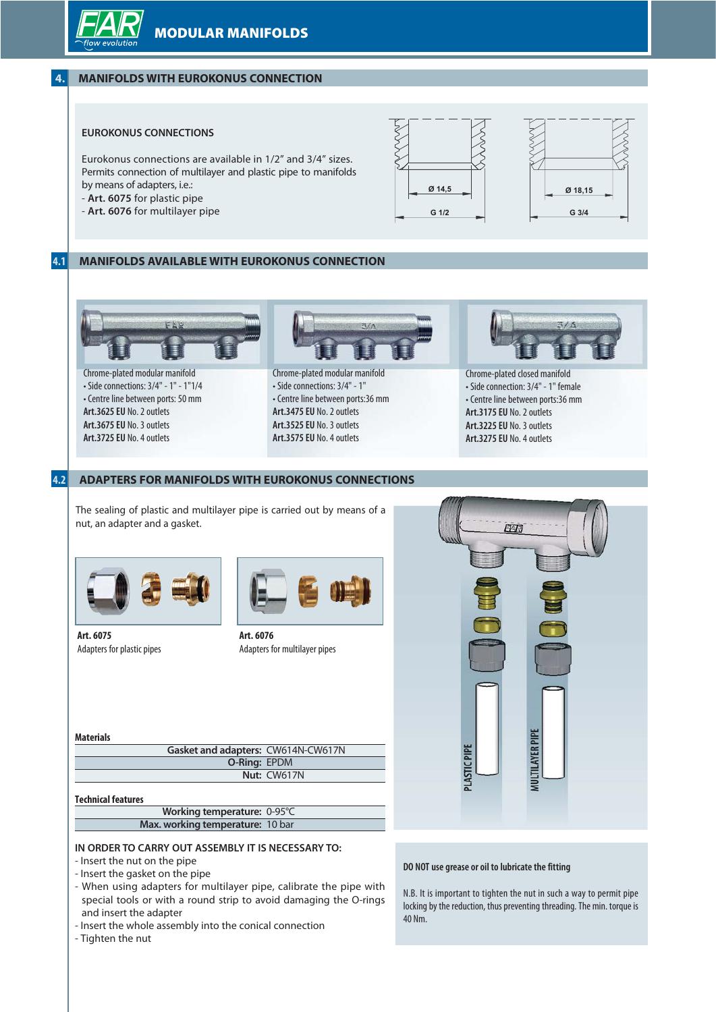

# **4.1 MANIFOLDS AVAILABLE WITH EUROKONUS CONNECTION**



Chrome-plated modular manifold • Side connections: 3/4" - 1" - 1"1/4 • Centre line between ports: 50 mm **Art.3625 EU** No. 2 outlets **Art.3675 EU** No. 3 outlets **Art.3725 EU** No. 4 outlets



Chrome-plated modular manifold • Side connections: 3/4" - 1" • Centre line between ports:36 mm **Art.3475 EU** No. 2 outlets **Art.3525 EU** No. 3 outlets **Art.3575 EU** No. 4 outlets



Chrome-plated closed manifold • Side connection: 3/4" - 1" female • Centre line between ports:36 mm **Art.3175 EU** No. 2 outlets **Art.3225 EU** No. 3 outlets **Art.3275 EU** No. 4 outlets

# **4.2 ADAPTERS FOR MANIFOLDS WITH EUROKONUS CONNECTIONS**

The sealing of plastic and multilayer pipe is carried out by means of a nut, an adapter and a gasket.







**Art. 6076** Adapters for multilayer pipes

#### **Materials**

**Gasket and adapters:** CW614N-CW617N **O-Ring:** EPDM **Nut:** CW617N

#### **Technical features**

| Working temperature: 0-95°C      |  |
|----------------------------------|--|
| Max. working temperature: 10 bar |  |
|                                  |  |

#### **IN ORDER TO CARRY OUT ASSEMBLY IT IS NECESSARY TO:**

- Insert the nut on the pipe
- Insert the gasket on the pipe
- When using adapters for multilayer pipe, calibrate the pipe with special tools or with a round strip to avoid damaging the O-rings and insert the adapter
- Insert the whole assembly into the conical connection
- Tighten the nut



#### **DO NOT use grease or oil to lubricate the fitting**

N.B. It is important to tighten the nut in such a way to permit pipe locking by the reduction, thus preventing threading. The min. torque is 40 Nm.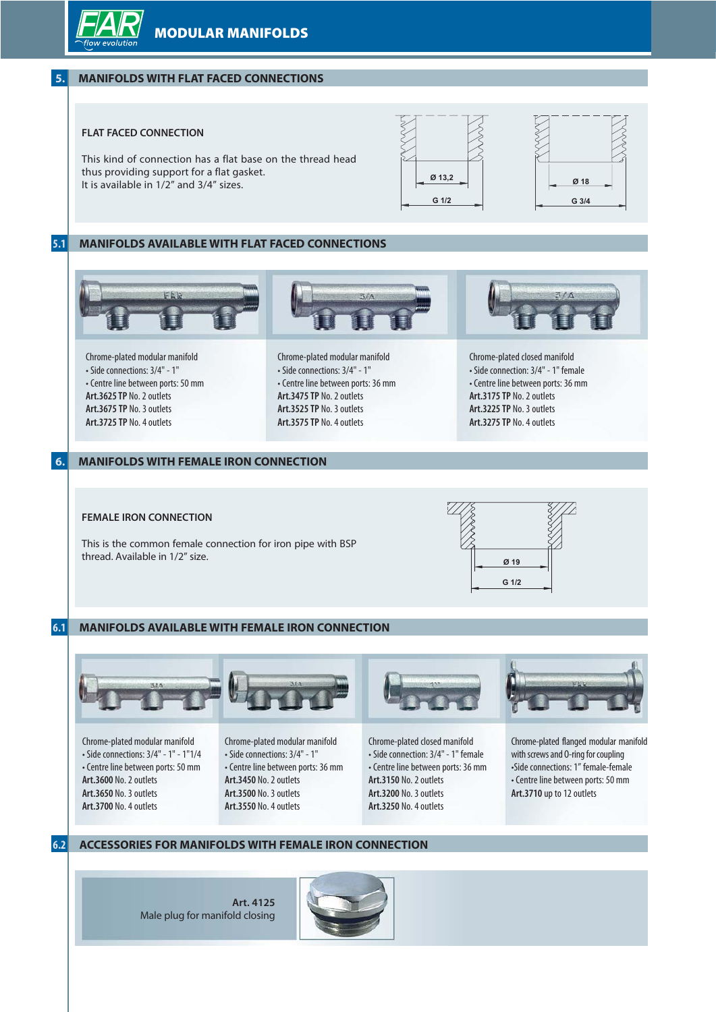**MODULAR MANIFOLDS**



# **5. MANIFOLDS WITH FLAT FACED CONNECTIONS**

# **FLAT FACED CONNECTION**







thus providing support for a flat gasket. It is available in 1/2" and 3/4" sizes.

#### **5.1 MANIFOLDS AVAILABLE WITH FLAT FACED CONNECTIONS**



Chrome-plated modular manifold • Side connections: 3/4" - 1" • Centre line between ports: 50 mm **Art.3625 TP** No. 2 outlets **Art.3675 TP** No. 3 outlets **Art.3725 TP** No. 4 outlets

Chrome-plated modular manifold • Side connections: 3/4" - 1" • Centre line between ports: 36 mm **Art.3475 TP** No. 2 outlets **Art.3525 TP** No. 3 outlets **Art.3575 TP** No. 4 outlets

Chrome-plated closed manifold • Side connection: 3/4" - 1" female • Centre line between ports: 36 mm

# **6. MANIFOLDS WITH FEMALE IRON CONNECTION**

### **FEMALE IRON CONNECTION**

This is the common female connection for iron pipe with BSP thread. Available in 1/2" size.



**Art.3175 TP** No. 2 outlets **Art.3225 TP** No. 3 outlets **Art.3275 TP** No. 4 outlets

# **6.1 MANIFOLDS AVAILABLE WITH FEMALE IRON CONNECTION**



Chrome-plated modular manifold • Side connections: 3/4" - 1" - 1"1/4 • Centre line between ports: 50 mm **Art.3600** No. 2 outlets **Art.3650** No. 3 outlets **Art.3700** No. 4 outlets

#### Chrome-plated modular manifold • Side connections: 3/4" - 1" • Centre line between ports: 36 mm **Art.3450** No. 2 outlets **Art.3500** No. 3 outlets **Art.3550** No. 4 outlets



Chrome-plated closed manifold • Side connection: 3/4" - 1" female • Centre line between ports: 36 mm **Art.3150** No. 2 outlets **Art.3200** No. 3 outlets **Art.3250** No. 4 outlets



Chrome-plated flanged modular manifold with screws and O-ring for coupling •Side connections: 1" female-female • Centre line between ports: 50 mm **Art.3710** up to 12 outlets

# **6.2 ACCESSORIES FOR MANIFOLDS WITH FEMALE IRON CONNECTION**

**Art. 4125** Male plug for manifold closing

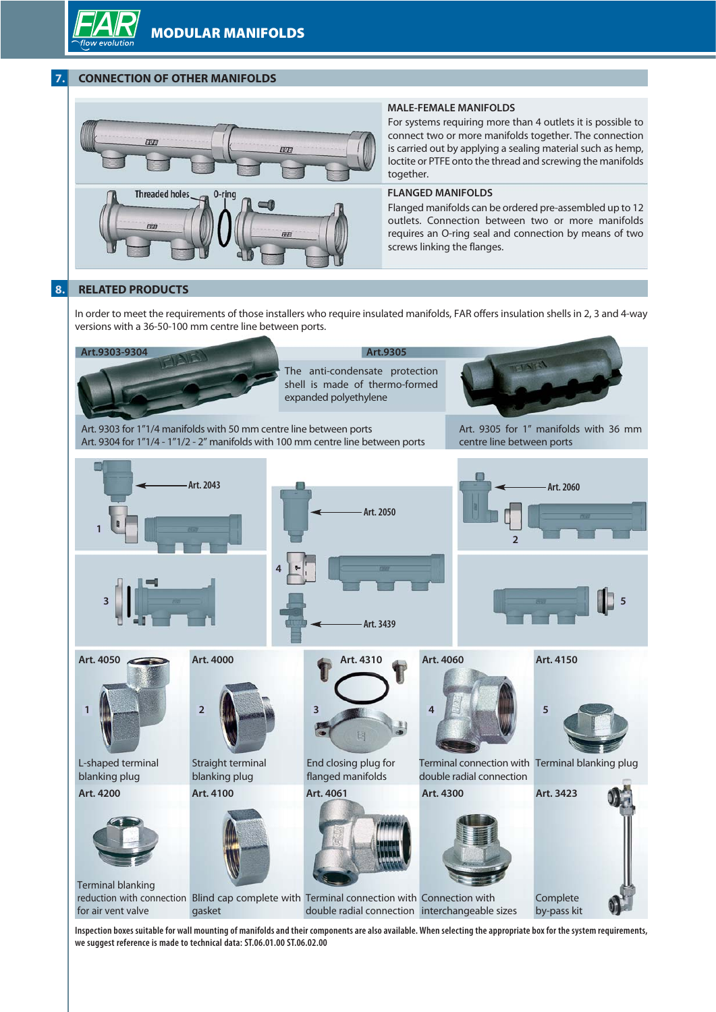# **7. CONNECTION OF OTHER MANIFOLDS**



#### **MALE-FEMALE MANIFOLDS**

For systems requiring more than 4 outlets it is possible to connect two or more manifolds together. The connection is carried out by applying a sealing material such as hemp, loctite or PTFE onto the thread and screwing the manifolds together.

# **FLANGED MANIFOLDS**

Flanged manifolds can be ordered pre-assembled up to 12 outlets. Connection between two or more manifolds requires an O-ring seal and connection by means of two screws linking the flanges.

# **8. RELATED PRODUCTS**

In order to meet the requirements of those installers who require insulated manifolds, FAR offers insulation shells in 2, 3 and 4-way versions with a 36-50-100 mm centre line between ports.



**Inspection boxes suitable for wall mounting of manifolds and their components are also available. When selecting the appropriate box for the system requirements, we suggest reference is made to technical data: ST.06.01.00 ST.06.02.00**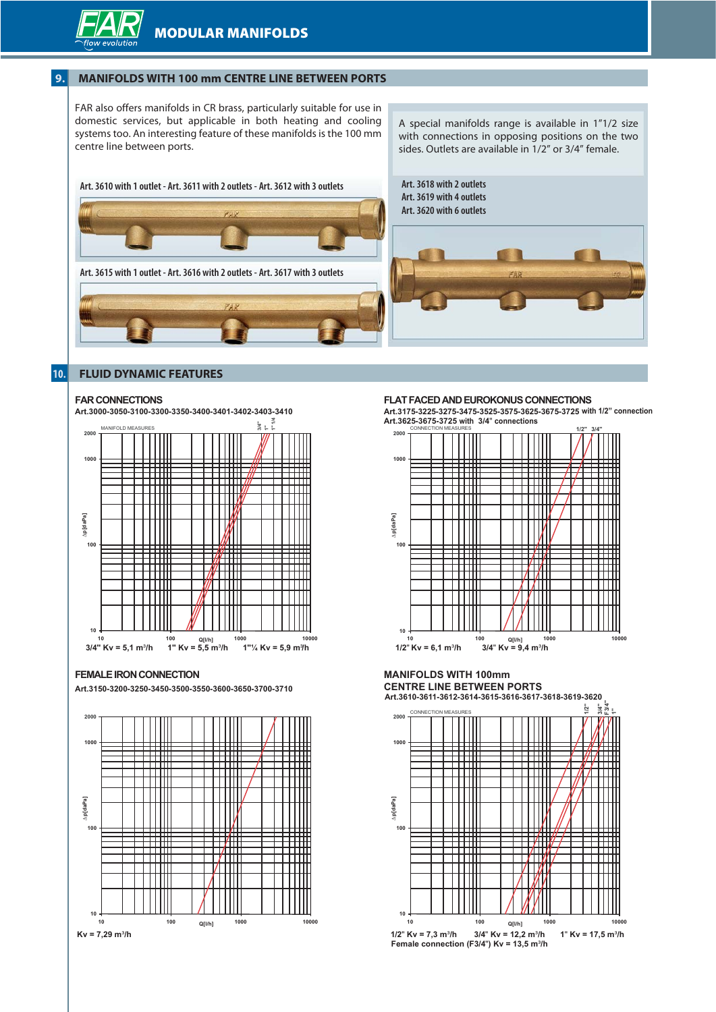

# **9. MANIFOLDS WITH 100 mm CENTRE LINE BETWEEN PORTS**

FAR also offers manifolds in CR brass, particularly suitable for use in domestic services, but applicable in both heating and cooling systems too. An interesting feature of these manifolds is the 100 mm centre line between ports.

A special manifolds range is available in 1"1/2 size with connections in opposing positions on the two sides. Outlets are available in 1/2" or 3/4" female.



# **10. FLUID DYNAMIC FEATURES**

#### **FAR CONNECTIONS**



#### **FEMALE IRON CONNECTION**

**Art.3150-3200-3250-3450-3500-3550-3600-3650-3700-3710**



#### **FLAT FACED AND EUROKONUS CONNECTIONS**

**Art.3175-3225-3275-3475-3525-3575-3625-3675-3725 with 1/2" connection Art.3625-3675-3725 with 3/4**" **connections**



## **MANIFOLDS WITH 100mm CENTRE LINE BETWEEN PORTS**



**Art.3610-3611-3612-3614-3615-3616-3617-3618-3619-3620**